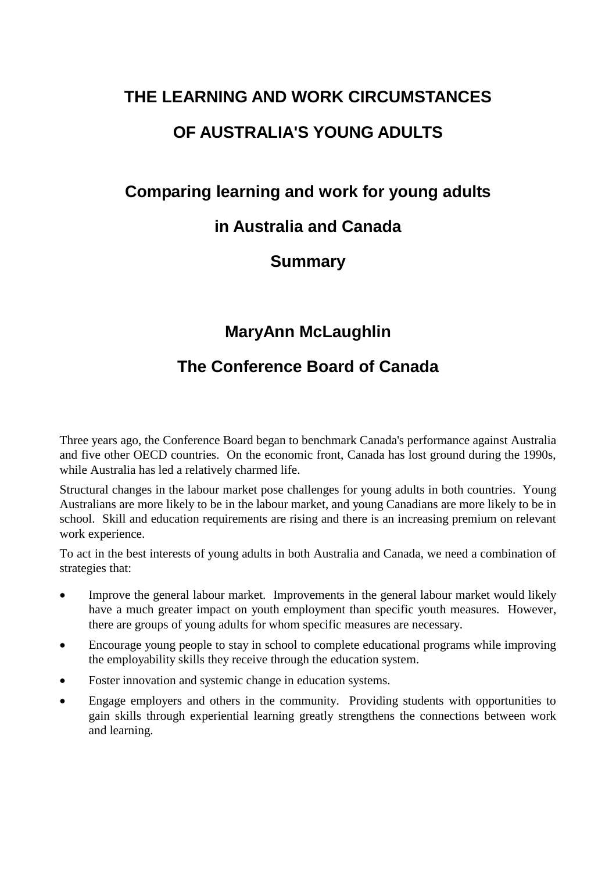# **THE LEARNING AND WORK CIRCUMSTANCES OF AUSTRALIA'S YOUNG ADULTS**

### **Comparing learning and work for young adults**

### **in Australia and Canada**

### **Summary**

### **MaryAnn McLaughlin**

### **The Conference Board of Canada**

Three years ago, the Conference Board began to benchmark Canada's performance against Australia and five other OECD countries. On the economic front, Canada has lost ground during the 1990s, while Australia has led a relatively charmed life.

Structural changes in the labour market pose challenges for young adults in both countries. Young Australians are more likely to be in the labour market, and young Canadians are more likely to be in school. Skill and education requirements are rising and there is an increasing premium on relevant work experience.

To act in the best interests of young adults in both Australia and Canada, we need a combination of strategies that:

- Improve the general labour market. Improvements in the general labour market would likely have a much greater impact on youth employment than specific youth measures. However, there are groups of young adults for whom specific measures are necessary.
- Encourage young people to stay in school to complete educational programs while improving the employability skills they receive through the education system.
- Foster innovation and systemic change in education systems.
- Engage employers and others in the community. Providing students with opportunities to gain skills through experiential learning greatly strengthens the connections between work and learning.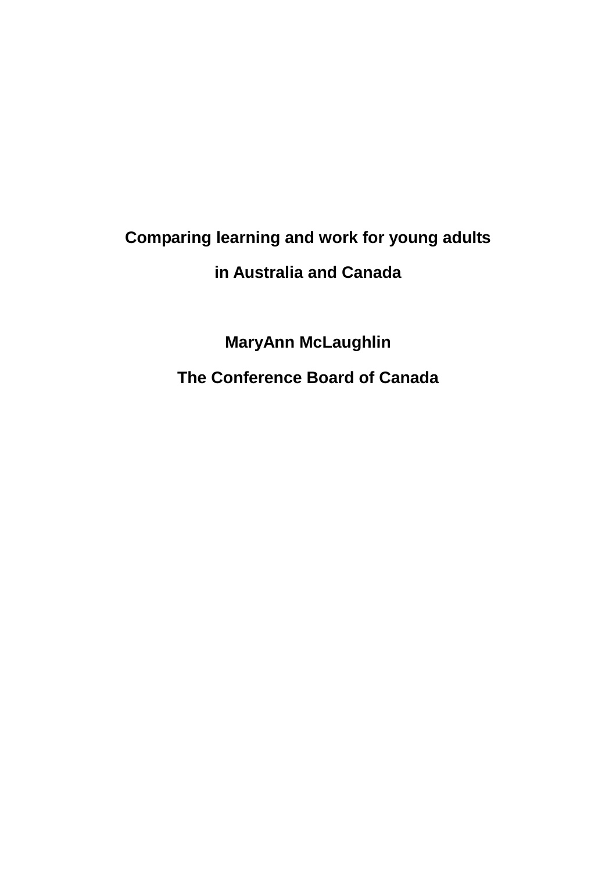# **Comparing learning and work for young adults in Australia and Canada**

**MaryAnn McLaughlin The Conference Board of Canada**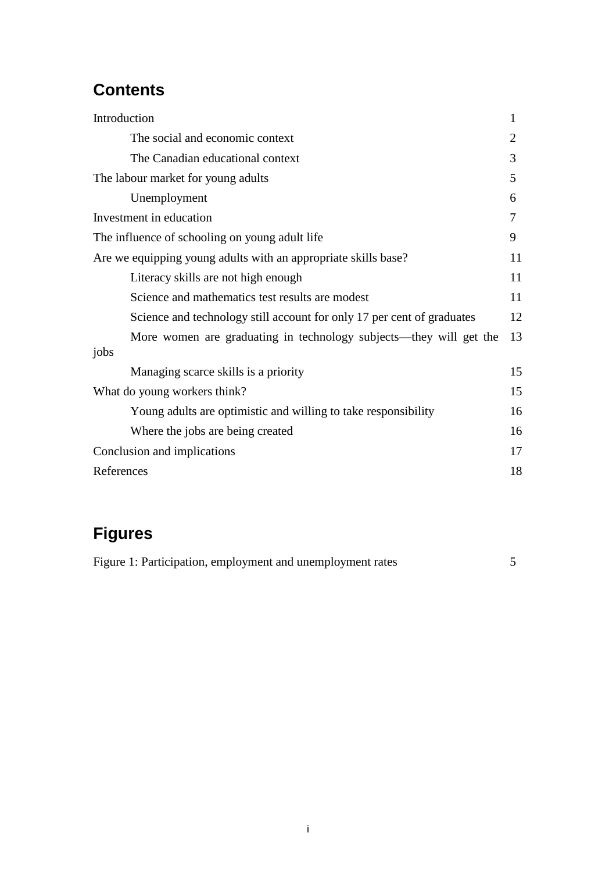## **Contents**

| Introduction                                                           | 1  |
|------------------------------------------------------------------------|----|
| The social and economic context                                        | 2  |
| The Canadian educational context                                       | 3  |
| The labour market for young adults                                     | 5  |
| Unemployment                                                           | 6  |
| Investment in education                                                | 7  |
| The influence of schooling on young adult life                         | 9  |
| Are we equipping young adults with an appropriate skills base?         | 11 |
| Literacy skills are not high enough                                    | 11 |
| Science and mathematics test results are modest                        | 11 |
| Science and technology still account for only 17 per cent of graduates | 12 |
| More women are graduating in technology subjects—they will get the     | 13 |
| jobs                                                                   |    |
| Managing scarce skills is a priority                                   | 15 |
| What do young workers think?                                           | 15 |
| Young adults are optimistic and willing to take responsibility         | 16 |
| Where the jobs are being created                                       | 16 |
| Conclusion and implications                                            | 17 |
| References                                                             | 18 |

# **Figures**

| Figure 1: Participation, employment and unemployment rates |  |  |  |
|------------------------------------------------------------|--|--|--|
|------------------------------------------------------------|--|--|--|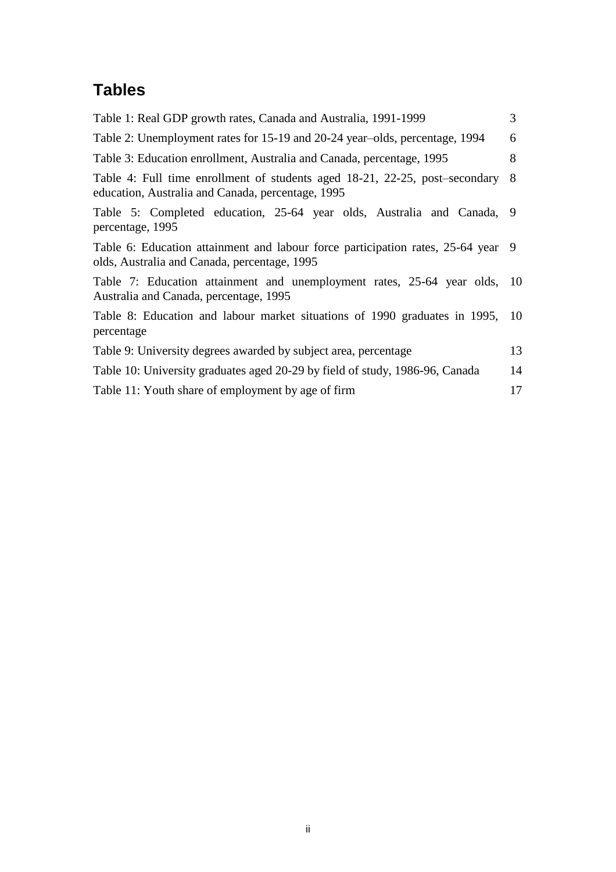## **Tables**

| Table 1: Real GDP growth rates, Canada and Australia, 1991-1999                                                                    | 3  |
|------------------------------------------------------------------------------------------------------------------------------------|----|
| Table 2: Unemployment rates for 15-19 and 20-24 year-olds, percentage, 1994                                                        | 6  |
| Table 3: Education enrollment, Australia and Canada, percentage, 1995                                                              | 8  |
| Table 4: Full time enrollment of students aged 18-21, 22-25, post-secondary 8<br>education, Australia and Canada, percentage, 1995 |    |
| Table 5: Completed education, 25-64 year olds, Australia and Canada, 9<br>percentage, 1995                                         |    |
| Table 6: Education attainment and labour force participation rates, 25-64 year 9<br>olds, Australia and Canada, percentage, 1995   |    |
| Table 7: Education attainment and unemployment rates, 25-64 year olds, 10<br>Australia and Canada, percentage, 1995                |    |
| Table 8: Education and labour market situations of 1990 graduates in 1995, 10<br>percentage                                        |    |
| Table 9: University degrees awarded by subject area, percentage                                                                    | 13 |
| Table 10: University graduates aged 20-29 by field of study, 1986-96, Canada                                                       | 14 |
| Table 11: Youth share of employment by age of firm                                                                                 | 17 |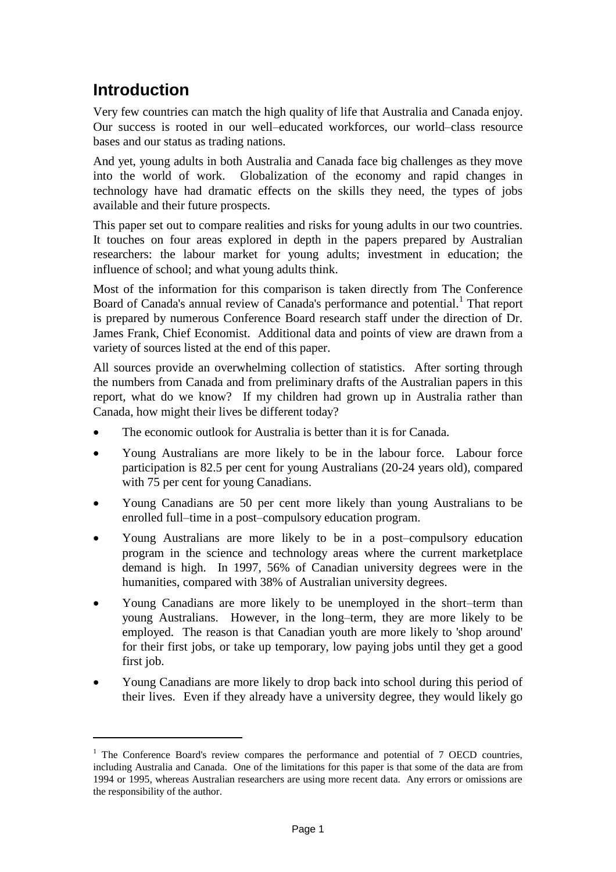### **Introduction**

 $\overline{a}$ 

Very few countries can match the high quality of life that Australia and Canada enjoy. Our success is rooted in our well–educated workforces, our world–class resource bases and our status as trading nations.

And yet, young adults in both Australia and Canada face big challenges as they move into the world of work. Globalization of the economy and rapid changes in technology have had dramatic effects on the skills they need, the types of jobs available and their future prospects.

This paper set out to compare realities and risks for young adults in our two countries. It touches on four areas explored in depth in the papers prepared by Australian researchers: the labour market for young adults; investment in education; the influence of school; and what young adults think.

Most of the information for this comparison is taken directly from The Conference Board of Canada's annual review of Canada's performance and potential.<sup>1</sup> That report is prepared by numerous Conference Board research staff under the direction of Dr. James Frank, Chief Economist. Additional data and points of view are drawn from a variety of sources listed at the end of this paper.

All sources provide an overwhelming collection of statistics. After sorting through the numbers from Canada and from preliminary drafts of the Australian papers in this report, what do we know? If my children had grown up in Australia rather than Canada, how might their lives be different today?

- The economic outlook for Australia is better than it is for Canada.
- Young Australians are more likely to be in the labour force. Labour force participation is 82.5 per cent for young Australians (20-24 years old), compared with 75 per cent for young Canadians.
- Young Canadians are 50 per cent more likely than young Australians to be enrolled full–time in a post–compulsory education program.
- Young Australians are more likely to be in a post–compulsory education program in the science and technology areas where the current marketplace demand is high. In 1997, 56% of Canadian university degrees were in the humanities, compared with 38% of Australian university degrees.
- Young Canadians are more likely to be unemployed in the short–term than young Australians. However, in the long–term, they are more likely to be employed. The reason is that Canadian youth are more likely to 'shop around' for their first jobs, or take up temporary, low paying jobs until they get a good first job.
- Young Canadians are more likely to drop back into school during this period of their lives. Even if they already have a university degree, they would likely go

 $<sup>1</sup>$  The Conference Board's review compares the performance and potential of 7 OECD countries,</sup> including Australia and Canada. One of the limitations for this paper is that some of the data are from 1994 or 1995, whereas Australian researchers are using more recent data. Any errors or omissions are the responsibility of the author.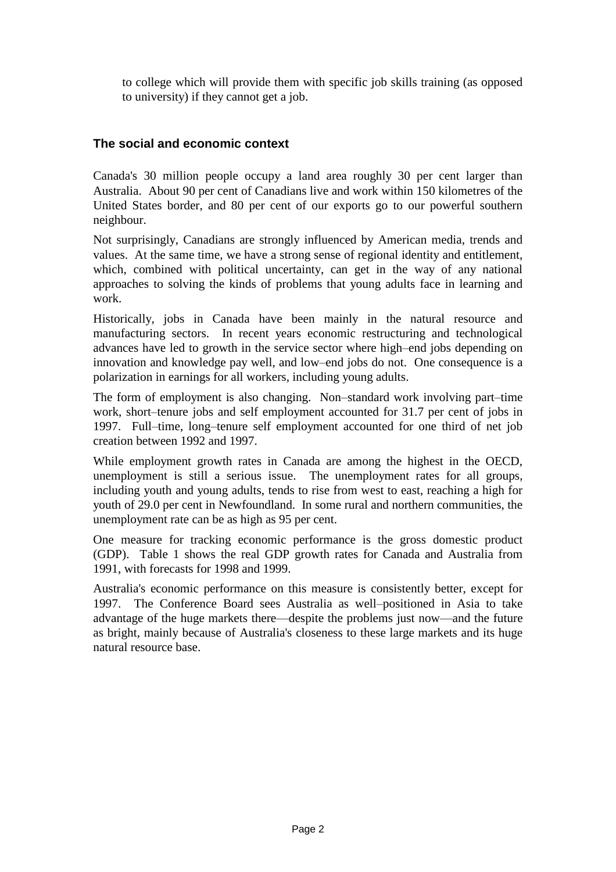to college which will provide them with specific job skills training (as opposed to university) if they cannot get a job.

### **The social and economic context**

Canada's 30 million people occupy a land area roughly 30 per cent larger than Australia. About 90 per cent of Canadians live and work within 150 kilometres of the United States border, and 80 per cent of our exports go to our powerful southern neighbour.

Not surprisingly, Canadians are strongly influenced by American media, trends and values. At the same time, we have a strong sense of regional identity and entitlement, which, combined with political uncertainty, can get in the way of any national approaches to solving the kinds of problems that young adults face in learning and work.

Historically, jobs in Canada have been mainly in the natural resource and manufacturing sectors. In recent years economic restructuring and technological advances have led to growth in the service sector where high–end jobs depending on innovation and knowledge pay well, and low–end jobs do not. One consequence is a polarization in earnings for all workers, including young adults.

The form of employment is also changing. Non–standard work involving part–time work, short–tenure jobs and self employment accounted for 31.7 per cent of jobs in 1997. Full–time, long–tenure self employment accounted for one third of net job creation between 1992 and 1997.

While employment growth rates in Canada are among the highest in the OECD, unemployment is still a serious issue. The unemployment rates for all groups, including youth and young adults, tends to rise from west to east, reaching a high for youth of 29.0 per cent in Newfoundland. In some rural and northern communities, the unemployment rate can be as high as 95 per cent.

One measure for tracking economic performance is the gross domestic product (GDP). Table 1 shows the real GDP growth rates for Canada and Australia from 1991, with forecasts for 1998 and 1999.

Australia's economic performance on this measure is consistently better, except for 1997. The Conference Board sees Australia as well–positioned in Asia to take advantage of the huge markets there—despite the problems just now—and the future as bright, mainly because of Australia's closeness to these large markets and its huge natural resource base.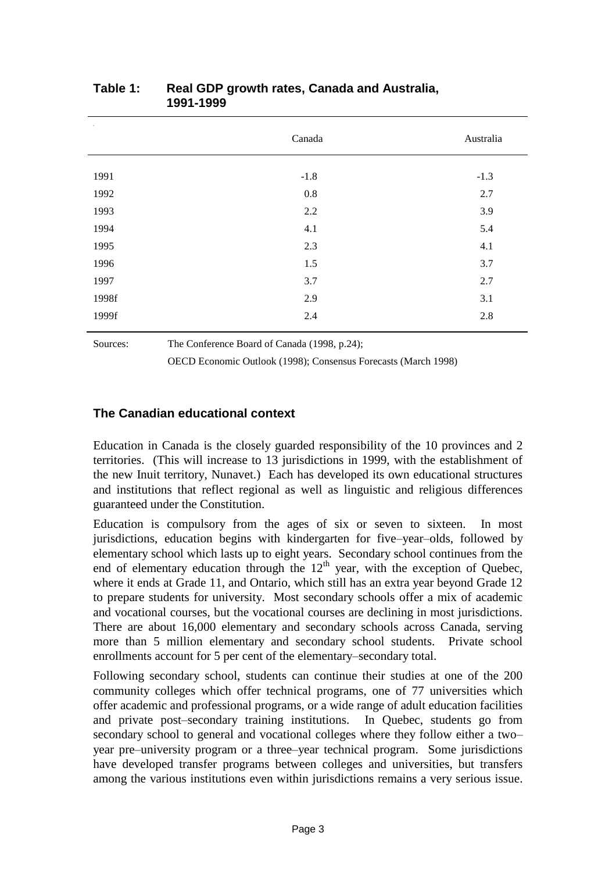| $^\mathrm{+}$ | Canada  | Australia |
|---------------|---------|-----------|
| 1991          | $-1.8$  | $-1.3$    |
| 1992          | $0.8\,$ | 2.7       |
| 1993          | 2.2     | 3.9       |
| 1994          | 4.1     | 5.4       |
| 1995          | 2.3     | 4.1       |
| 1996          | 1.5     | 3.7       |
| 1997          | 3.7     | 2.7       |
| 1998f         | 2.9     | 3.1       |
| 1999f         | 2.4     | 2.8       |
|               |         |           |

#### **Table 1: Real GDP growth rates, Canada and Australia, 1991-1999**

Sources: The Conference Board of Canada (1998, p.24);

OECD Economic Outlook (1998); Consensus Forecasts (March 1998)

### **The Canadian educational context**

Education in Canada is the closely guarded responsibility of the 10 provinces and 2 territories. (This will increase to 13 jurisdictions in 1999, with the establishment of the new Inuit territory, Nunavet.) Each has developed its own educational structures and institutions that reflect regional as well as linguistic and religious differences guaranteed under the Constitution.

Education is compulsory from the ages of six or seven to sixteen. In most jurisdictions, education begins with kindergarten for five–year–olds, followed by elementary school which lasts up to eight years. Secondary school continues from the end of elementary education through the  $12<sup>th</sup>$  year, with the exception of Quebec, where it ends at Grade 11, and Ontario, which still has an extra year beyond Grade 12 to prepare students for university. Most secondary schools offer a mix of academic and vocational courses, but the vocational courses are declining in most jurisdictions. There are about 16,000 elementary and secondary schools across Canada, serving more than 5 million elementary and secondary school students. Private school enrollments account for 5 per cent of the elementary–secondary total.

Following secondary school, students can continue their studies at one of the 200 community colleges which offer technical programs, one of 77 universities which offer academic and professional programs, or a wide range of adult education facilities and private post–secondary training institutions. In Quebec, students go from secondary school to general and vocational colleges where they follow either a two– year pre–university program or a three–year technical program. Some jurisdictions have developed transfer programs between colleges and universities, but transfers among the various institutions even within jurisdictions remains a very serious issue.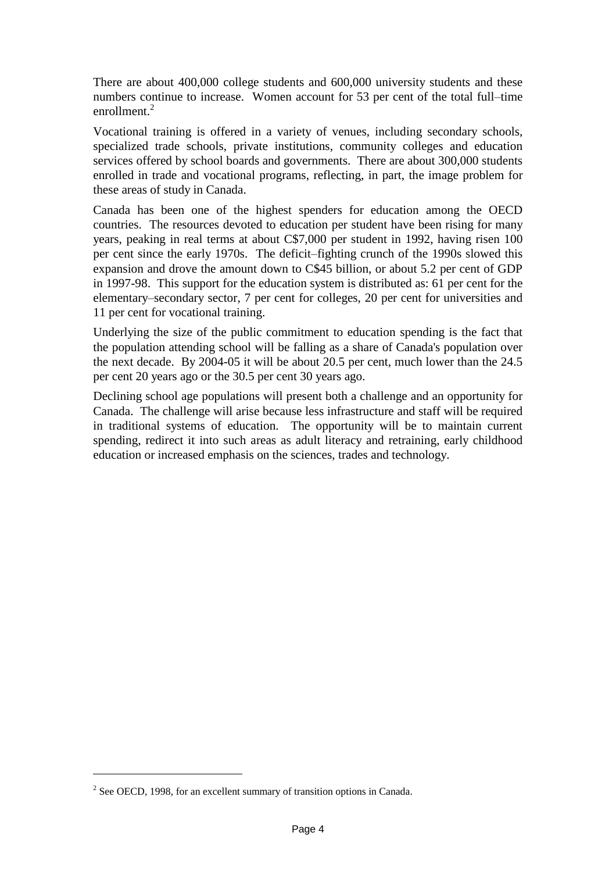There are about 400,000 college students and 600,000 university students and these numbers continue to increase. Women account for 53 per cent of the total full–time enrollment.<sup>2</sup>

Vocational training is offered in a variety of venues, including secondary schools, specialized trade schools, private institutions, community colleges and education services offered by school boards and governments. There are about 300,000 students enrolled in trade and vocational programs, reflecting, in part, the image problem for these areas of study in Canada.

Canada has been one of the highest spenders for education among the OECD countries. The resources devoted to education per student have been rising for many years, peaking in real terms at about C\$7,000 per student in 1992, having risen 100 per cent since the early 1970s. The deficit–fighting crunch of the 1990s slowed this expansion and drove the amount down to C\$45 billion, or about 5.2 per cent of GDP in 1997-98. This support for the education system is distributed as: 61 per cent for the elementary–secondary sector, 7 per cent for colleges, 20 per cent for universities and 11 per cent for vocational training.

Underlying the size of the public commitment to education spending is the fact that the population attending school will be falling as a share of Canada's population over the next decade. By 2004-05 it will be about 20.5 per cent, much lower than the 24.5 per cent 20 years ago or the 30.5 per cent 30 years ago.

Declining school age populations will present both a challenge and an opportunity for Canada. The challenge will arise because less infrastructure and staff will be required in traditional systems of education. The opportunity will be to maintain current spending, redirect it into such areas as adult literacy and retraining, early childhood education or increased emphasis on the sciences, trades and technology.

 $\overline{a}$ 

 $2^2$  See OECD, 1998, for an excellent summary of transition options in Canada.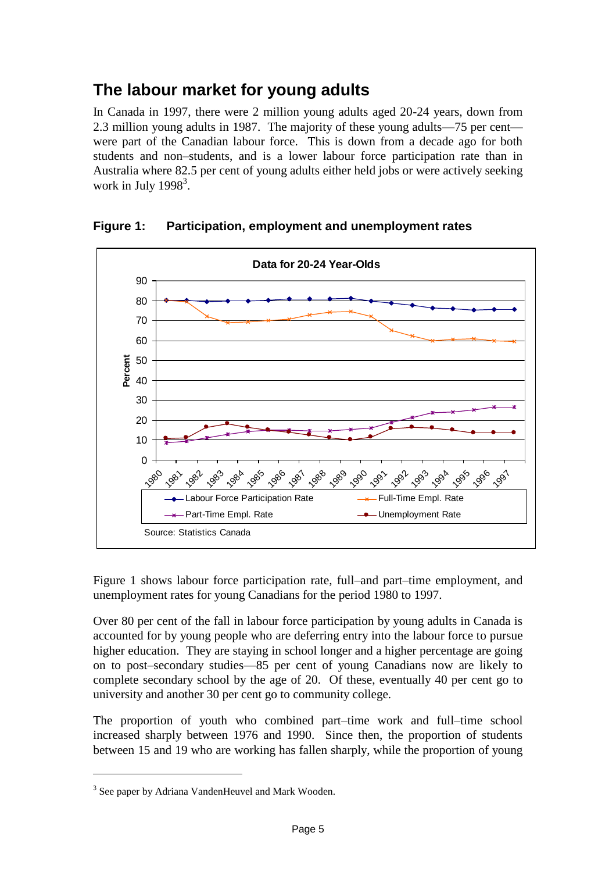### **The labour market for young adults**

In Canada in 1997, there were 2 million young adults aged 20-24 years, down from 2.3 million young adults in 1987. The majority of these young adults—75 per cent were part of the Canadian labour force. This is down from a decade ago for both students and non–students, and is a lower labour force participation rate than in Australia where 82.5 per cent of young adults either held jobs or were actively seeking work in July  $1998<sup>3</sup>$ .



**Figure 1: Participation, employment and unemployment rates**

Figure 1 shows labour force participation rate, full–and part–time employment, and unemployment rates for young Canadians for the period 1980 to 1997.

Over 80 per cent of the fall in labour force participation by young adults in Canada is accounted for by young people who are deferring entry into the labour force to pursue higher education. They are staying in school longer and a higher percentage are going on to post–secondary studies—85 per cent of young Canadians now are likely to complete secondary school by the age of 20. Of these, eventually 40 per cent go to university and another 30 per cent go to community college.

The proportion of youth who combined part–time work and full–time school increased sharply between 1976 and 1990. Since then, the proportion of students between 15 and 19 who are working has fallen sharply, while the proportion of young

 $\overline{a}$ 

<sup>&</sup>lt;sup>3</sup> See paper by Adriana VandenHeuvel and Mark Wooden.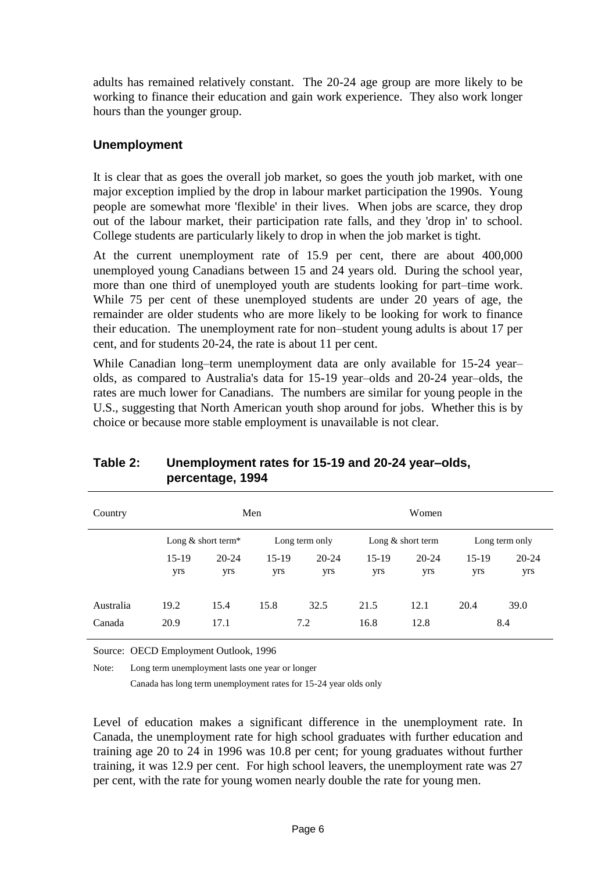adults has remained relatively constant. The 20-24 age group are more likely to be working to finance their education and gain work experience. They also work longer hours than the younger group.

### **Unemployment**

It is clear that as goes the overall job market, so goes the youth job market, with one major exception implied by the drop in labour market participation the 1990s. Young people are somewhat more 'flexible' in their lives. When jobs are scarce, they drop out of the labour market, their participation rate falls, and they 'drop in' to school. College students are particularly likely to drop in when the job market is tight.

At the current unemployment rate of 15.9 per cent, there are about 400,000 unemployed young Canadians between 15 and 24 years old. During the school year, more than one third of unemployed youth are students looking for part–time work. While 75 per cent of these unemployed students are under 20 years of age, the remainder are older students who are more likely to be looking for work to finance their education. The unemployment rate for non–student young adults is about 17 per cent, and for students 20-24, the rate is about 11 per cent.

While Canadian long–term unemployment data are only available for 15-24 year– olds, as compared to Australia's data for 15-19 year–olds and 20-24 year–olds, the rates are much lower for Canadians. The numbers are similar for young people in the U.S., suggesting that North American youth shop around for jobs. Whether this is by choice or because more stable employment is unavailable is not clear.

| Country             |                      |                  | Men            |                  |                | Women               |                |                  |
|---------------------|----------------------|------------------|----------------|------------------|----------------|---------------------|----------------|------------------|
|                     | Long $&$ short term* |                  |                | Long term only   |                | Long $&$ short term |                | Long term only   |
|                     | 15-19<br>yrs         | $20 - 24$<br>yrs | $15-19$<br>yrs | $20 - 24$<br>yrs | $15-19$<br>yrs | $20 - 24$<br>yrs    | $15-19$<br>yrs | $20 - 24$<br>yrs |
| Australia<br>Canada | 19.2<br>20.9         | 15.4<br>17.1     | 15.8           | 32.5<br>7.2      | 21.5<br>16.8   | 12.1<br>12.8        | 20.4           | 39.0<br>8.4      |

### **Table 2: Unemployment rates for 15-19 and 20-24 year–olds, percentage, 1994**

Source: OECD Employment Outlook, 1996

Note: Long term unemployment lasts one year or longer

Canada has long term unemployment rates for 15-24 year olds only

Level of education makes a significant difference in the unemployment rate. In Canada, the unemployment rate for high school graduates with further education and training age 20 to 24 in 1996 was 10.8 per cent; for young graduates without further training, it was 12.9 per cent. For high school leavers, the unemployment rate was 27 per cent, with the rate for young women nearly double the rate for young men.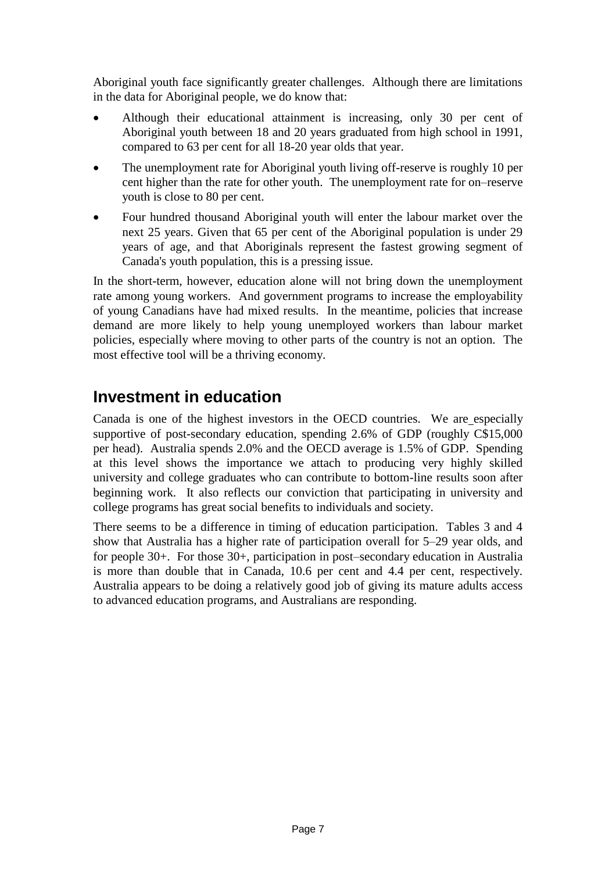Aboriginal youth face significantly greater challenges. Although there are limitations in the data for Aboriginal people, we do know that:

- Although their educational attainment is increasing, only 30 per cent of Aboriginal youth between 18 and 20 years graduated from high school in 1991, compared to 63 per cent for all 18-20 year olds that year.
- The unemployment rate for Aboriginal youth living off-reserve is roughly 10 per cent higher than the rate for other youth. The unemployment rate for on–reserve youth is close to 80 per cent.
- Four hundred thousand Aboriginal youth will enter the labour market over the next 25 years. Given that 65 per cent of the Aboriginal population is under 29 years of age, and that Aboriginals represent the fastest growing segment of Canada's youth population, this is a pressing issue.

In the short-term, however, education alone will not bring down the unemployment rate among young workers. And government programs to increase the employability of young Canadians have had mixed results. In the meantime, policies that increase demand are more likely to help young unemployed workers than labour market policies, especially where moving to other parts of the country is not an option. The most effective tool will be a thriving economy.

### **Investment in education**

Canada is one of the highest investors in the OECD countries. We are especially supportive of post-secondary education, spending 2.6% of GDP (roughly C\$15,000 per head). Australia spends 2.0% and the OECD average is 1.5% of GDP. Spending at this level shows the importance we attach to producing very highly skilled university and college graduates who can contribute to bottom-line results soon after beginning work. It also reflects our conviction that participating in university and college programs has great social benefits to individuals and society.

There seems to be a difference in timing of education participation. Tables 3 and 4 show that Australia has a higher rate of participation overall for 5–29 year olds, and for people 30+. For those 30+, participation in post–secondary education in Australia is more than double that in Canada, 10.6 per cent and 4.4 per cent, respectively. Australia appears to be doing a relatively good job of giving its mature adults access to advanced education programs, and Australians are responding.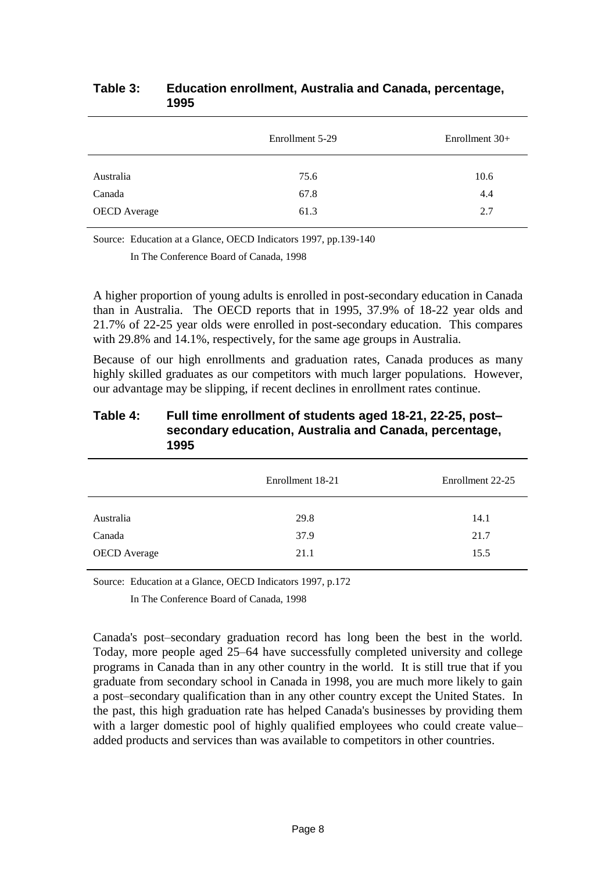|                     | Enrollment 5-29 | Enrollment 30+ |
|---------------------|-----------------|----------------|
| Australia           | 75.6            | 10.6           |
| Canada              | 67.8            | 4.4            |
| <b>OECD</b> Average | 61.3            | 2.7            |

#### **Table 3: Education enrollment, Australia and Canada, percentage, 1995**

Source: Education at a Glance, OECD Indicators 1997, pp.139-140

In The Conference Board of Canada, 1998

A higher proportion of young adults is enrolled in post-secondary education in Canada than in Australia. The OECD reports that in 1995, 37.9% of 18-22 year olds and 21.7% of 22-25 year olds were enrolled in post-secondary education. This compares with 29.8% and 14.1%, respectively, for the same age groups in Australia.

Because of our high enrollments and graduation rates, Canada produces as many highly skilled graduates as our competitors with much larger populations. However, our advantage may be slipping, if recent declines in enrollment rates continue.

#### **Table 4: Full time enrollment of students aged 18-21, 22-25, post– secondary education, Australia and Canada, percentage, 1995**

|                               | Enrollment 18-21 | Enrollment 22-25 |
|-------------------------------|------------------|------------------|
| Australia                     | 29.8             | 14.1             |
| Canada<br><b>OECD</b> Average | 37.9<br>21.1     | 21.7<br>15.5     |
|                               |                  |                  |

Source: Education at a Glance, OECD Indicators 1997, p.172

In The Conference Board of Canada, 1998

Canada's post–secondary graduation record has long been the best in the world. Today, more people aged 25–64 have successfully completed university and college programs in Canada than in any other country in the world. It is still true that if you graduate from secondary school in Canada in 1998, you are much more likely to gain a post–secondary qualification than in any other country except the United States. In the past, this high graduation rate has helped Canada's businesses by providing them with a larger domestic pool of highly qualified employees who could create value– added products and services than was available to competitors in other countries.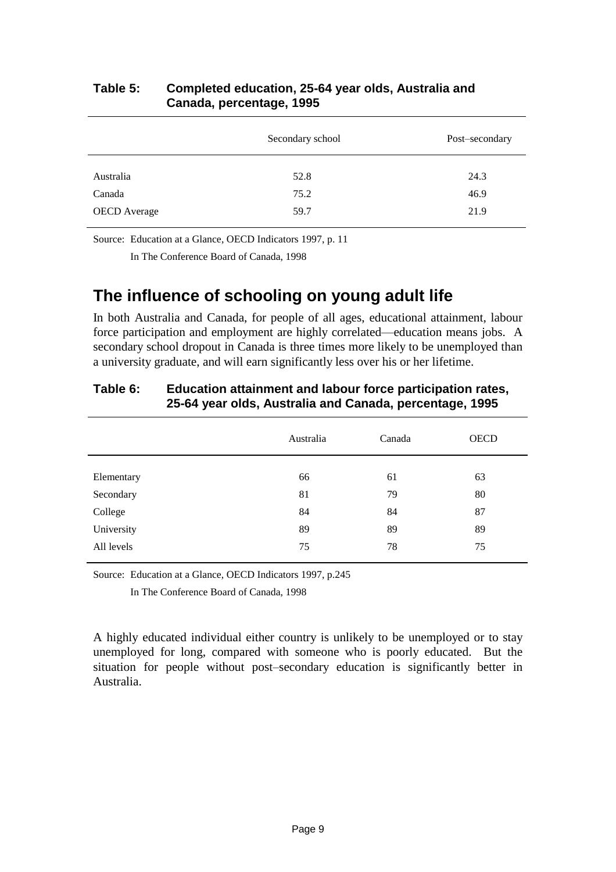|                     | Secondary school | Post-secondary |
|---------------------|------------------|----------------|
| Australia           | 52.8             | 24.3           |
| Canada              | 75.2             | 46.9           |
| <b>OECD</b> Average | 59.7             | 21.9           |

### **Table 5: Completed education, 25-64 year olds, Australia and Canada, percentage, 1995**

Source: Education at a Glance, OECD Indicators 1997, p. 11

In The Conference Board of Canada, 1998

### **The influence of schooling on young adult life**

In both Australia and Canada, for people of all ages, educational attainment, labour force participation and employment are highly correlated—education means jobs. A secondary school dropout in Canada is three times more likely to be unemployed than a university graduate, and will earn significantly less over his or her lifetime.

|            | Australia | Canada | <b>OECD</b> |
|------------|-----------|--------|-------------|
| Elementary | 66        | 61     | 63          |
| Secondary  | 81        | 79     | 80          |
| College    | 84        | 84     | 87          |
| University | 89        | 89     | 89          |
| All levels | 75        | 78     | 75          |
|            |           |        |             |

### **Table 6: Education attainment and labour force participation rates, 25-64 year olds, Australia and Canada, percentage, 1995**

Source: Education at a Glance, OECD Indicators 1997, p.245

In The Conference Board of Canada, 1998

A highly educated individual either country is unlikely to be unemployed or to stay unemployed for long, compared with someone who is poorly educated. But the situation for people without post–secondary education is significantly better in Australia.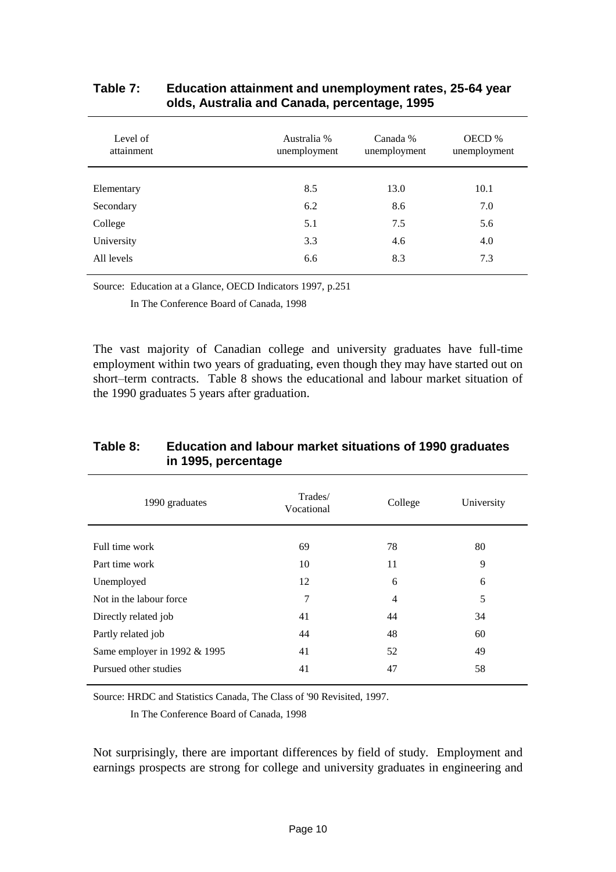| Level of<br>attainment | Australia %<br>unemployment | Canada %<br>unemployment | OECD %<br>unemployment |
|------------------------|-----------------------------|--------------------------|------------------------|
|                        |                             |                          |                        |
| Elementary             | 8.5                         | 13.0                     | 10.1                   |
| Secondary              | 6.2                         | 8.6                      | 7.0                    |
| College                | 5.1                         | 7.5                      | 5.6                    |
| University             | 3.3                         | 4.6                      | 4.0                    |
| All levels             | 6.6                         | 8.3                      | 7.3                    |
|                        |                             |                          |                        |

#### **Table 7: Education attainment and unemployment rates, 25-64 year olds, Australia and Canada, percentage, 1995**

Source: Education at a Glance, OECD Indicators 1997, p.251

In The Conference Board of Canada, 1998

The vast majority of Canadian college and university graduates have full-time employment within two years of graduating, even though they may have started out on short–term contracts. Table 8 shows the educational and labour market situation of the 1990 graduates 5 years after graduation.

| 1990 graduates               | Trades/<br>Vocational | College        | University |
|------------------------------|-----------------------|----------------|------------|
| Full time work               | 69                    | 78             | 80         |
| Part time work               | 10                    | 11             | 9          |
| Unemployed                   | 12                    | 6              | 6          |
| Not in the labour force.     | 7                     | $\overline{4}$ | 5          |
| Directly related job         | 41                    | 44             | 34         |
| Partly related job           | 44                    | 48             | 60         |
| Same employer in 1992 & 1995 | 41                    | 52             | 49         |
| Pursued other studies        | 41                    | 47             | 58         |

#### **Table 8: Education and labour market situations of 1990 graduates in 1995, percentage**

Source: HRDC and Statistics Canada, The Class of '90 Revisited, 1997.

In The Conference Board of Canada, 1998

Not surprisingly, there are important differences by field of study. Employment and earnings prospects are strong for college and university graduates in engineering and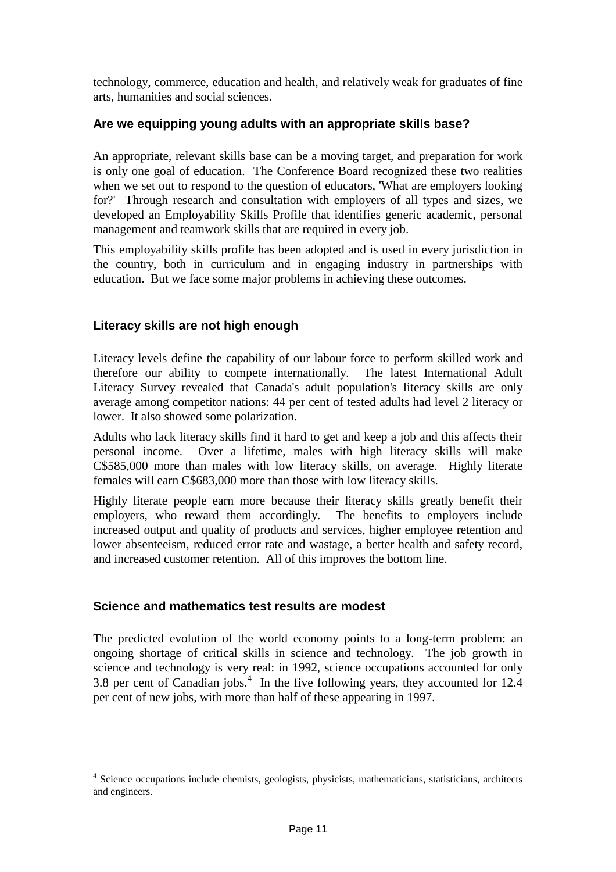technology, commerce, education and health, and relatively weak for graduates of fine arts, humanities and social sciences.

#### **Are we equipping young adults with an appropriate skills base?**

An appropriate, relevant skills base can be a moving target, and preparation for work is only one goal of education. The Conference Board recognized these two realities when we set out to respond to the question of educators, 'What are employers looking for?' Through research and consultation with employers of all types and sizes, we developed an Employability Skills Profile that identifies generic academic, personal management and teamwork skills that are required in every job.

This employability skills profile has been adopted and is used in every jurisdiction in the country, both in curriculum and in engaging industry in partnerships with education. But we face some major problems in achieving these outcomes.

### **Literacy skills are not high enough**

Literacy levels define the capability of our labour force to perform skilled work and therefore our ability to compete internationally. The latest International Adult Literacy Survey revealed that Canada's adult population's literacy skills are only average among competitor nations: 44 per cent of tested adults had level 2 literacy or lower. It also showed some polarization.

Adults who lack literacy skills find it hard to get and keep a job and this affects their personal income. Over a lifetime, males with high literacy skills will make C\$585,000 more than males with low literacy skills, on average. Highly literate females will earn C\$683,000 more than those with low literacy skills.

Highly literate people earn more because their literacy skills greatly benefit their employers, who reward them accordingly. The benefits to employers include increased output and quality of products and services, higher employee retention and lower absenteeism, reduced error rate and wastage, a better health and safety record, and increased customer retention. All of this improves the bottom line.

#### **Science and mathematics test results are modest**

 $\overline{a}$ 

The predicted evolution of the world economy points to a long-term problem: an ongoing shortage of critical skills in science and technology. The job growth in science and technology is very real: in 1992, science occupations accounted for only 3.8 per cent of Canadian jobs.<sup>4</sup> In the five following years, they accounted for 12.4 per cent of new jobs, with more than half of these appearing in 1997.

<sup>&</sup>lt;sup>4</sup> Science occupations include chemists, geologists, physicists, mathematicians, statisticians, architects and engineers.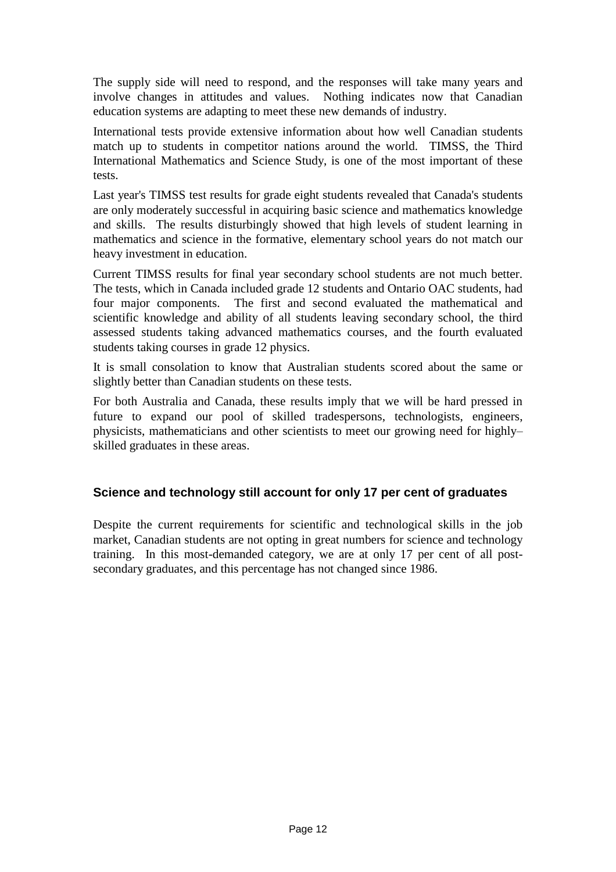The supply side will need to respond, and the responses will take many years and involve changes in attitudes and values. Nothing indicates now that Canadian education systems are adapting to meet these new demands of industry.

International tests provide extensive information about how well Canadian students match up to students in competitor nations around the world. TIMSS, the Third International Mathematics and Science Study, is one of the most important of these tests.

Last year's TIMSS test results for grade eight students revealed that Canada's students are only moderately successful in acquiring basic science and mathematics knowledge and skills. The results disturbingly showed that high levels of student learning in mathematics and science in the formative, elementary school years do not match our heavy investment in education.

Current TIMSS results for final year secondary school students are not much better. The tests, which in Canada included grade 12 students and Ontario OAC students, had four major components. The first and second evaluated the mathematical and scientific knowledge and ability of all students leaving secondary school, the third assessed students taking advanced mathematics courses, and the fourth evaluated students taking courses in grade 12 physics.

It is small consolation to know that Australian students scored about the same or slightly better than Canadian students on these tests.

For both Australia and Canada, these results imply that we will be hard pressed in future to expand our pool of skilled tradespersons, technologists, engineers, physicists, mathematicians and other scientists to meet our growing need for highly– skilled graduates in these areas.

#### **Science and technology still account for only 17 per cent of graduates**

Despite the current requirements for scientific and technological skills in the job market, Canadian students are not opting in great numbers for science and technology training. In this most-demanded category, we are at only 17 per cent of all postsecondary graduates, and this percentage has not changed since 1986.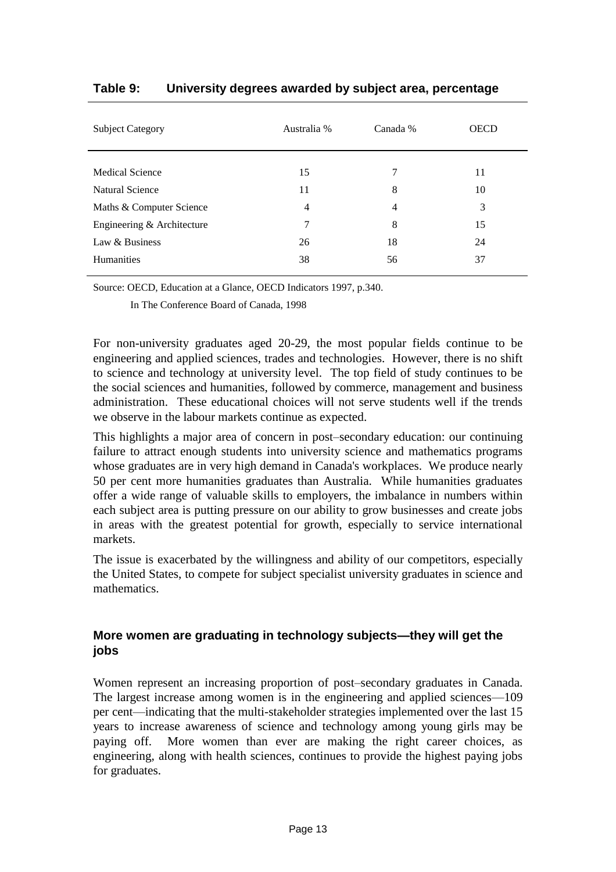| Australia % | Canada %       | <b>OECD</b> |
|-------------|----------------|-------------|
| 15          | 7              | 11          |
| 11          | 8              | 10          |
| 4           | $\overline{4}$ | 3           |
| 7           | 8              | 15          |
| 26          | 18             | 24          |
| 38          | 56             | 37          |
|             |                |             |

#### **Table 9: University degrees awarded by subject area, percentage**

Source: OECD, Education at a Glance, OECD Indicators 1997, p.340.

In The Conference Board of Canada, 1998

For non-university graduates aged 20-29, the most popular fields continue to be engineering and applied sciences, trades and technologies. However, there is no shift to science and technology at university level. The top field of study continues to be the social sciences and humanities, followed by commerce, management and business administration. These educational choices will not serve students well if the trends we observe in the labour markets continue as expected.

This highlights a major area of concern in post–secondary education: our continuing failure to attract enough students into university science and mathematics programs whose graduates are in very high demand in Canada's workplaces. We produce nearly 50 per cent more humanities graduates than Australia. While humanities graduates offer a wide range of valuable skills to employers, the imbalance in numbers within each subject area is putting pressure on our ability to grow businesses and create jobs in areas with the greatest potential for growth, especially to service international markets.

The issue is exacerbated by the willingness and ability of our competitors, especially the United States, to compete for subject specialist university graduates in science and mathematics.

### **More women are graduating in technology subjects—they will get the jobs**

Women represent an increasing proportion of post–secondary graduates in Canada. The largest increase among women is in the engineering and applied sciences—109 per cent—indicating that the multi-stakeholder strategies implemented over the last 15 years to increase awareness of science and technology among young girls may be paying off. More women than ever are making the right career choices, as engineering, along with health sciences, continues to provide the highest paying jobs for graduates.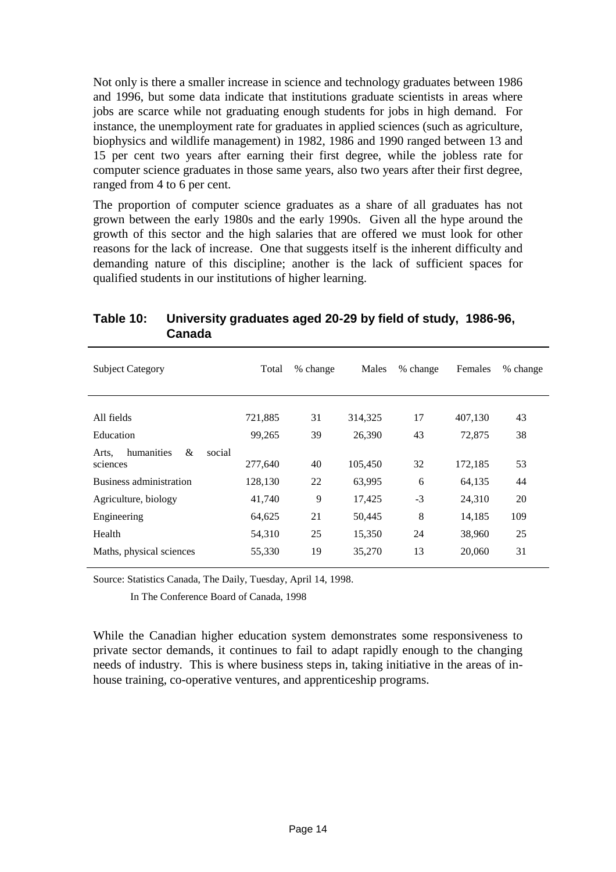Not only is there a smaller increase in science and technology graduates between 1986 and 1996, but some data indicate that institutions graduate scientists in areas where jobs are scarce while not graduating enough students for jobs in high demand. For instance, the unemployment rate for graduates in applied sciences (such as agriculture, biophysics and wildlife management) in 1982, 1986 and 1990 ranged between 13 and 15 per cent two years after earning their first degree, while the jobless rate for computer science graduates in those same years, also two years after their first degree, ranged from 4 to 6 per cent.

The proportion of computer science graduates as a share of all graduates has not grown between the early 1980s and the early 1990s. Given all the hype around the growth of this sector and the high salaries that are offered we must look for other reasons for the lack of increase. One that suggests itself is the inherent difficulty and demanding nature of this discipline; another is the lack of sufficient spaces for qualified students in our institutions of higher learning.

| <b>Subject Category</b>            | Total   | % change | Males   | % change | Females | % change |
|------------------------------------|---------|----------|---------|----------|---------|----------|
|                                    |         |          |         |          |         |          |
| All fields                         | 721,885 | 31       | 314,325 | 17       | 407,130 | 43       |
| Education                          | 99,265  | 39       | 26,390  | 43       | 72,875  | 38       |
| &<br>humanities<br>social<br>Arts, |         |          |         |          |         |          |
| sciences                           | 277,640 | 40       | 105,450 | 32       | 172,185 | 53       |
| Business administration            | 128,130 | 22       | 63,995  | 6        | 64,135  | 44       |
| Agriculture, biology               | 41,740  | 9        | 17,425  | $-3$     | 24,310  | 20       |
| Engineering                        | 64,625  | 21       | 50,445  | 8        | 14,185  | 109      |
| Health                             | 54,310  | 25       | 15,350  | 24       | 38,960  | 25       |
| Maths, physical sciences           | 55,330  | 19       | 35,270  | 13       | 20,060  | 31       |

#### **Table 10: University graduates aged 20-29 by field of study, 1986-96, Canada**

Source: Statistics Canada, The Daily, Tuesday, April 14, 1998.

In The Conference Board of Canada, 1998

While the Canadian higher education system demonstrates some responsiveness to private sector demands, it continues to fail to adapt rapidly enough to the changing needs of industry. This is where business steps in, taking initiative in the areas of inhouse training, co-operative ventures, and apprenticeship programs.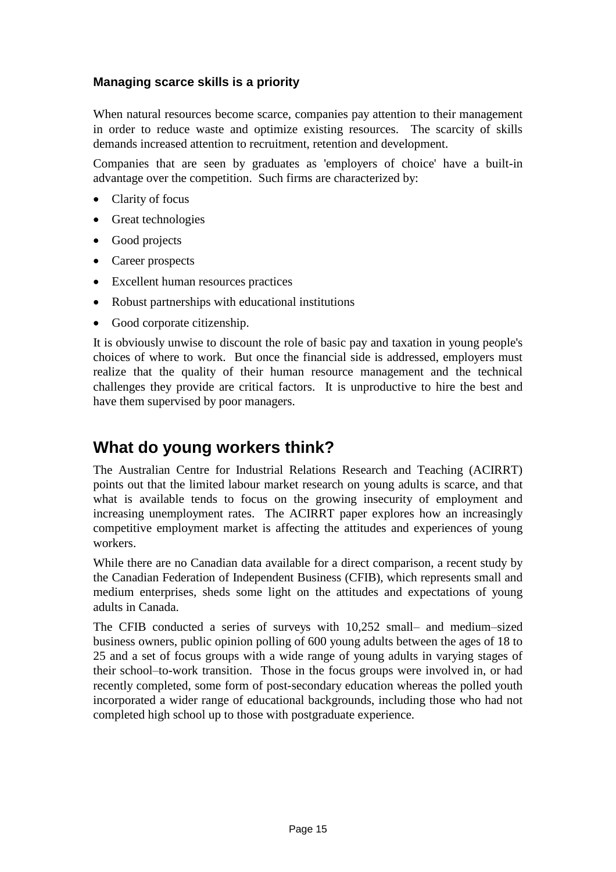### **Managing scarce skills is a priority**

When natural resources become scarce, companies pay attention to their management in order to reduce waste and optimize existing resources. The scarcity of skills demands increased attention to recruitment, retention and development.

Companies that are seen by graduates as 'employers of choice' have a built-in advantage over the competition. Such firms are characterized by:

- Clarity of focus
- Great technologies
- Good projects
- Career prospects
- Excellent human resources practices
- Robust partnerships with educational institutions
- Good corporate citizenship.

It is obviously unwise to discount the role of basic pay and taxation in young people's choices of where to work. But once the financial side is addressed, employers must realize that the quality of their human resource management and the technical challenges they provide are critical factors. It is unproductive to hire the best and have them supervised by poor managers.

### **What do young workers think?**

The Australian Centre for Industrial Relations Research and Teaching (ACIRRT) points out that the limited labour market research on young adults is scarce, and that what is available tends to focus on the growing insecurity of employment and increasing unemployment rates. The ACIRRT paper explores how an increasingly competitive employment market is affecting the attitudes and experiences of young workers.

While there are no Canadian data available for a direct comparison, a recent study by the Canadian Federation of Independent Business (CFIB), which represents small and medium enterprises, sheds some light on the attitudes and expectations of young adults in Canada.

The CFIB conducted a series of surveys with 10,252 small– and medium–sized business owners, public opinion polling of 600 young adults between the ages of 18 to 25 and a set of focus groups with a wide range of young adults in varying stages of their school–to-work transition. Those in the focus groups were involved in, or had recently completed, some form of post-secondary education whereas the polled youth incorporated a wider range of educational backgrounds, including those who had not completed high school up to those with postgraduate experience.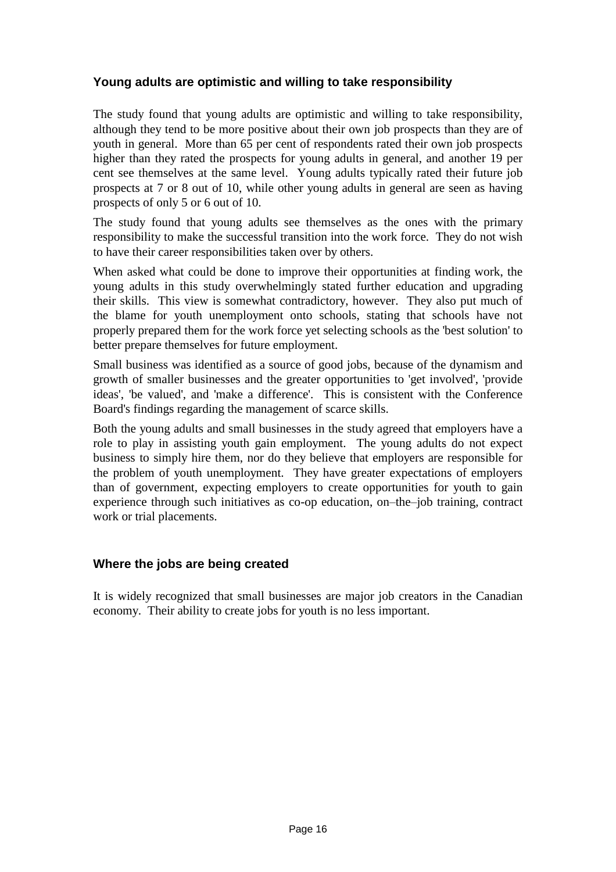### **Young adults are optimistic and willing to take responsibility**

The study found that young adults are optimistic and willing to take responsibility, although they tend to be more positive about their own job prospects than they are of youth in general. More than 65 per cent of respondents rated their own job prospects higher than they rated the prospects for young adults in general, and another 19 per cent see themselves at the same level. Young adults typically rated their future job prospects at 7 or 8 out of 10, while other young adults in general are seen as having prospects of only 5 or 6 out of 10.

The study found that young adults see themselves as the ones with the primary responsibility to make the successful transition into the work force. They do not wish to have their career responsibilities taken over by others.

When asked what could be done to improve their opportunities at finding work, the young adults in this study overwhelmingly stated further education and upgrading their skills. This view is somewhat contradictory, however. They also put much of the blame for youth unemployment onto schools, stating that schools have not properly prepared them for the work force yet selecting schools as the 'best solution' to better prepare themselves for future employment.

Small business was identified as a source of good jobs, because of the dynamism and growth of smaller businesses and the greater opportunities to 'get involved', 'provide ideas', 'be valued', and 'make a difference'. This is consistent with the Conference Board's findings regarding the management of scarce skills.

Both the young adults and small businesses in the study agreed that employers have a role to play in assisting youth gain employment. The young adults do not expect business to simply hire them, nor do they believe that employers are responsible for the problem of youth unemployment. They have greater expectations of employers than of government, expecting employers to create opportunities for youth to gain experience through such initiatives as co-op education, on–the–job training, contract work or trial placements.

#### **Where the jobs are being created**

It is widely recognized that small businesses are major job creators in the Canadian economy. Their ability to create jobs for youth is no less important.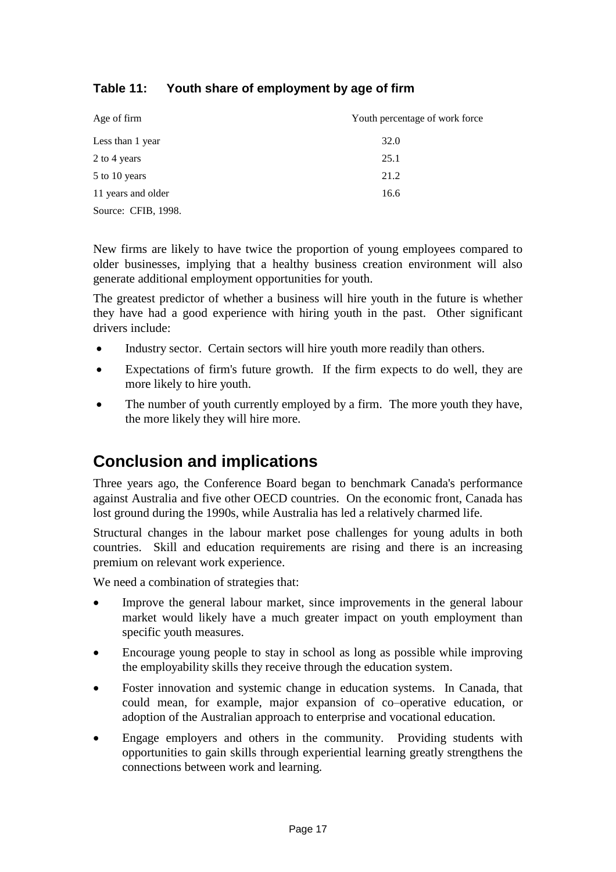### **Table 11: Youth share of employment by age of firm**

| Age of firm         | Youth percentage of work force |
|---------------------|--------------------------------|
| Less than 1 year    | 32.0                           |
| 2 to 4 years        | 25.1                           |
| 5 to 10 years       | 21.2                           |
| 11 years and older  | 16.6                           |
| Source: CFIB, 1998. |                                |

New firms are likely to have twice the proportion of young employees compared to older businesses, implying that a healthy business creation environment will also generate additional employment opportunities for youth.

The greatest predictor of whether a business will hire youth in the future is whether they have had a good experience with hiring youth in the past. Other significant drivers include:

- Industry sector. Certain sectors will hire youth more readily than others.
- Expectations of firm's future growth. If the firm expects to do well, they are more likely to hire youth.
- The number of youth currently employed by a firm. The more youth they have, the more likely they will hire more.

### **Conclusion and implications**

Three years ago, the Conference Board began to benchmark Canada's performance against Australia and five other OECD countries. On the economic front, Canada has lost ground during the 1990s, while Australia has led a relatively charmed life.

Structural changes in the labour market pose challenges for young adults in both countries. Skill and education requirements are rising and there is an increasing premium on relevant work experience.

We need a combination of strategies that:

- Improve the general labour market, since improvements in the general labour market would likely have a much greater impact on youth employment than specific youth measures.
- Encourage young people to stay in school as long as possible while improving the employability skills they receive through the education system.
- Foster innovation and systemic change in education systems. In Canada, that could mean, for example, major expansion of co–operative education, or adoption of the Australian approach to enterprise and vocational education.
- Engage employers and others in the community. Providing students with opportunities to gain skills through experiential learning greatly strengthens the connections between work and learning.